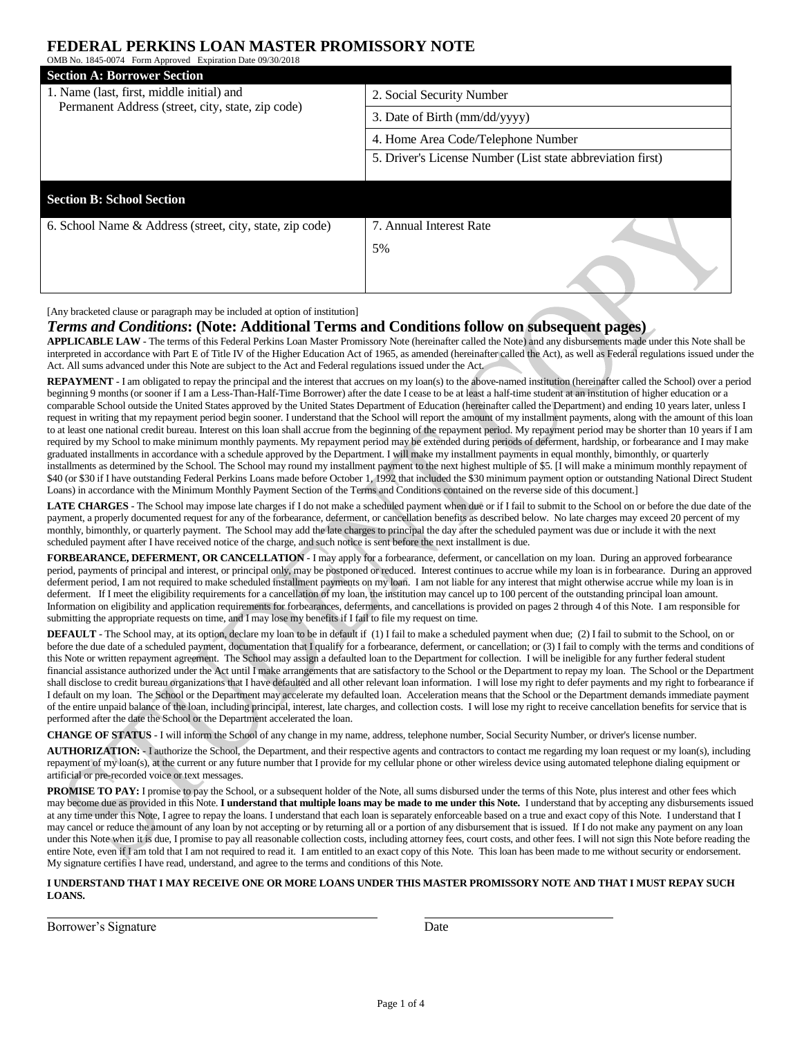## **FEDERAL PERKINS LOAN MASTER PROMISSORY NOTE**

| OMB No. 1845-0074 Form Approved Expiration Date 09/30/2018                                     |                                                            |
|------------------------------------------------------------------------------------------------|------------------------------------------------------------|
| <b>Section A: Borrower Section</b>                                                             |                                                            |
| 1. Name (last, first, middle initial) and<br>Permanent Address (street, city, state, zip code) | 2. Social Security Number                                  |
|                                                                                                | 3. Date of Birth (mm/dd/yyyy)                              |
|                                                                                                | 4. Home Area Code/Telephone Number                         |
|                                                                                                | 5. Driver's License Number (List state abbreviation first) |
|                                                                                                |                                                            |
| <b>Section B: School Section</b>                                                               |                                                            |
| 6. School Name & Address (street, city, state, zip code)                                       | 7. Annual Interest Rate                                    |
|                                                                                                | 5%                                                         |
|                                                                                                |                                                            |

[Any bracketed clause or paragraph may be included at option of institution]

### *Terms and Conditions***: (Note: Additional Terms and Conditions follow on subsequent pages)**

**APPLICABLE LAW** - The terms of this Federal Perkins Loan Master Promissory Note (hereinafter called the Note) and any disbursements made under this Note shall be interpreted in accordance with Part E of Title IV of the Higher Education Act of 1965, as amended (hereinafter called the Act), as well as Federal regulations issued under the Act. All sums advanced under this Note are subject to the Act and Federal regulations issued under the Act.

REPAYMENT - I am obligated to repay the principal and the interest that accrues on my loan(s) to the above-named institution (hereinafter called the School) over a period beginning 9 months (or sooner if I am a Less-Than-Half-Time Borrower) after the date I cease to be at least a half-time student at an institution of higher education or a comparable School outside the United States approved by the United States Department of Education (hereinafter called the Department) and ending 10 years later, unless I request in writing that my repayment period begin sooner. I understand that the School will report the amount of my installment payments, along with the amount of this loan to at least one national credit bureau. Interest on this loan shall accrue from the beginning of the repayment period. My repayment period may be shorter than 10 years if I am required by my School to make minimum monthly payments. My repayment period may be extended during periods of deferment, hardship, or forbearance and I may make graduated installments in accordance with a schedule approved by the Department. I will make my installment payments in equal monthly, bimonthly, or quarterly installments as determined by the School. The School may round my installment payment to the next highest multiple of \$5. [I will make a minimum monthly repayment of \$40 (or \$30 if I have outstanding Federal Perkins Loans made before October 1, 1992 that included the \$30 minimum payment option or outstanding National Direct Student Loans) in accordance with the Minimum Monthly Payment Section of the Terms and Conditions contained on the reverse side of this document.]

**LATE CHARGES** - The School may impose late charges if I do not make a scheduled payment when due or if I fail to submit to the School on or before the due date of the payment, a properly documented request for any of the forbearance, deferment, or cancellation benefits as described below. No late charges may exceed 20 percent of my monthly, bimonthly, or quarterly payment. The School may add the late charges to principal the day after the scheduled payment was due or include it with the next scheduled payment after I have received notice of the charge, and such notice is sent before the next installment is due.

**FORBEARANCE, DEFERMENT, OR CANCELLATION** - I may apply for a forbearance, deferment, or cancellation on my loan. During an approved forbearance period, payments of principal and interest, or principal only, may be postponed or reduced. Interest continues to accrue while my loan is in forbearance. During an approved deferment period, I am not required to make scheduled installment payments on my loan. I am not liable for any interest that might otherwise accrue while my loan is in deferment. If I meet the eligibility requirements for a cancellation of my loan, the institution may cancel up to 100 percent of the outstanding principal loan amount. Information on eligibility and application requirements for forbearances, deferments, and cancellations is provided on pages 2 through 4 of this Note. I am responsible for submitting the appropriate requests on time, and I may lose my benefits if I fail to file my request on time.

**DEFAULT** - The School may, at its option, declare my loan to be in default if (1) I fail to make a scheduled payment when due; (2) I fail to submit to the School, on or before the due date of a scheduled payment, documentation that I qualify for a forbearance, deferment, or cancellation; or (3) I fail to comply with the terms and conditions of this Note or written repayment agreement. The School may assign a defaulted loan to the Department for collection. I will be ineligible for any further federal student financial assistance authorized under the Act until I make arrangements that are satisfactory to the School or the Department to repay my loan. The School or the Department shall disclose to credit bureau organizations that I have defaulted and all other relevant loan information. I will lose my right to defer payments and my right to forbearance if I default on my loan. The School or the Department may accelerate my defaulted loan. Acceleration means that the School or the Department demands immediate payment of the entire unpaid balance of the loan, including principal, interest, late charges, and collection costs. I will lose my right to receive cancellation benefits for service that is performed after the date the School or the Department accelerated the loan.

**CHANGE OF STATUS** - I will inform the School of any change in my name, address, telephone number, Social Security Number, or driver's license number.

**AUTHORIZATION:** - I authorize the School, the Department, and their respective agents and contractors to contact me regarding my loan request or my loan(s), including repayment of my loan(s), at the current or any future number that I provide for my cellular phone or other wireless device using automated telephone dialing equipment or artificial or pre-recorded voice or text messages.

PROMISE TO PAY: I promise to pay the School, or a subsequent holder of the Note, all sums disbursed under the terms of this Note, plus interest and other fees which may become due as provided in this Note. **I understand that multiple loans may be made to me under this Note.** I understand that by accepting any disbursements issued at any time under this Note, I agree to repay the loans. I understand that each loan is separately enforceable based on a true and exact copy of this Note. I understand that I may cancel or reduce the amount of any loan by not accepting or by returning all or a portion of any disbursement that is issued. If I do not make any payment on any loan under this Note when it is due, I promise to pay all reasonable collection costs, including attorney fees, court costs, and other fees. I will not sign this Note before reading the entire Note, even if I am told that I am not required to read it. I am entitled to an exact copy of this Note. This loan has been made to me without security or endorsement. My signature certifies I have read, understand, and agree to the terms and conditions of this Note.

### **I UNDERSTAND THAT I MAY RECEIVE ONE OR MORE LOANS UNDER THIS MASTER PROMISSORY NOTE AND THAT I MUST REPAY SUCH LOANS.**

Borrower's Signature Date Date Date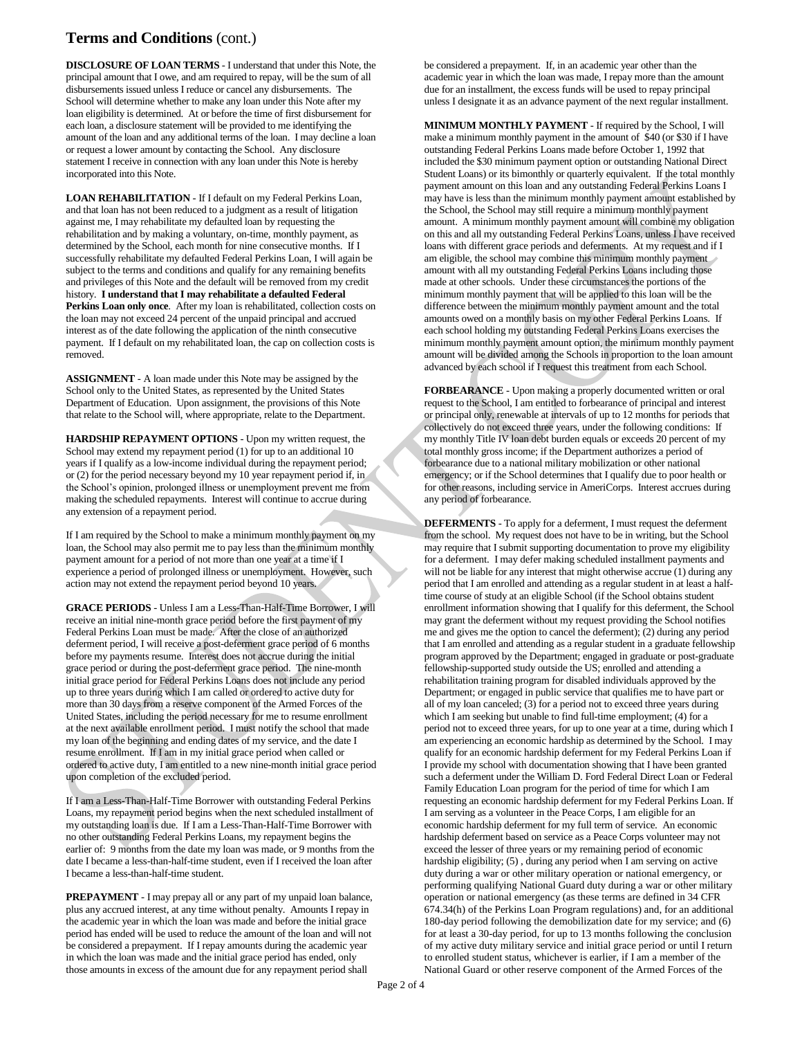# **Terms and Conditions** (cont.)

**DISCLOSURE OF LOAN TERMS** - I understand that under this Note, the principal amount that I owe, and am required to repay, will be the sum of all disbursements issued unless I reduce or cancel any disbursements. The School will determine whether to make any loan under this Note after my loan eligibility is determined. At or before the time of first disbursement for each loan, a disclosure statement will be provided to me identifying the amount of the loan and any additional terms of the loan. I may decline a loan or request a lower amount by contacting the School. Any disclosure statement I receive in connection with any loan under this Note is hereby incorporated into this Note.

**LOAN REHABILITATION** - If I default on my Federal Perkins Loan, and that loan has not been reduced to a judgment as a result of litigation against me, I may rehabilitate my defaulted loan by requesting the rehabilitation and by making a voluntary, on-time, monthly payment, as determined by the School, each month for nine consecutive months. If I successfully rehabilitate my defaulted Federal Perkins Loan, I will again be subject to the terms and conditions and qualify for any remaining benefits and privileges of this Note and the default will be removed from my credit history. **I understand that I may rehabilitate a defaulted Federal Perkins Loan only once**. After my loan is rehabilitated, collection costs on the loan may not exceed 24 percent of the unpaid principal and accrued interest as of the date following the application of the ninth consecutive payment. If I default on my rehabilitated loan, the cap on collection costs is removed.

**ASSIGNMENT** - A loan made under this Note may be assigned by the School only to the United States, as represented by the United States Department of Education. Upon assignment, the provisions of this Note that relate to the School will, where appropriate, relate to the Department.

**HARDSHIP REPAYMENT OPTIONS** - Upon my written request, the School may extend my repayment period (1) for up to an additional 10 years if I qualify as a low-income individual during the repayment period; or (2) for the period necessary beyond my 10 year repayment period if, in the School's opinion, prolonged illness or unemployment prevent me from making the scheduled repayments. Interest will continue to accrue during any extension of a repayment period.

If I am required by the School to make a minimum monthly payment on my loan, the School may also permit me to pay less than the minimum monthly payment amount for a period of not more than one year at a time if I experience a period of prolonged illness or unemployment. However, such action may not extend the repayment period beyond 10 years.

**GRACE PERIODS** - Unless I am a Less-Than-Half-Time Borrower, I will receive an initial nine-month grace period before the first payment of my Federal Perkins Loan must be made. After the close of an authorized deferment period, I will receive a post-deferment grace period of 6 months before my payments resume. Interest does not accrue during the initial grace period or during the post-deferment grace period. The nine-month initial grace period for Federal Perkins Loans does not include any period up to three years during which I am called or ordered to active duty for more than 30 days from a reserve component of the Armed Forces of the United States, including the period necessary for me to resume enrollment at the next available enrollment period. I must notify the school that made my loan of the beginning and ending dates of my service, and the date I resume enrollment. If I am in my initial grace period when called or ordered to active duty, I am entitled to a new nine-month initial grace period upon completion of the excluded period.

If I am a Less-Than-Half-Time Borrower with outstanding Federal Perkins Loans, my repayment period begins when the next scheduled installment of my outstanding loan is due. If I am a Less-Than-Half-Time Borrower with no other outstanding Federal Perkins Loans, my repayment begins the earlier of: 9 months from the date my loan was made, or 9 months from the date I became a less-than-half-time student, even if I received the loan after I became a less-than-half-time student.

**PREPAYMENT** - I may prepay all or any part of my unpaid loan balance, plus any accrued interest, at any time without penalty. Amounts I repay in the academic year in which the loan was made and before the initial grace period has ended will be used to reduce the amount of the loan and will not be considered a prepayment. If I repay amounts during the academic year in which the loan was made and the initial grace period has ended, only those amounts in excess of the amount due for any repayment period shall

be considered a prepayment. If, in an academic year other than the academic year in which the loan was made, I repay more than the amount due for an installment, the excess funds will be used to repay principal unless I designate it as an advance payment of the next regular installment.

**MINIMUM MONTHLY PAYMENT** - If required by the School, I will make a minimum monthly payment in the amount of \$40 (or \$30 if I have outstanding Federal Perkins Loans made before October 1, 1992 that included the \$30 minimum payment option or outstanding National Direct Student Loans) or its bimonthly or quarterly equivalent. If the total monthly payment amount on this loan and any outstanding Federal Perkins Loans I may have is less than the minimum monthly payment amount established by the School, the School may still require a minimum monthly payment amount. A minimum monthly payment amount will combine my obligation on this and all my outstanding Federal Perkins Loans, unless I have received loans with different grace periods and deferments. At my request and if I am eligible, the school may combine this minimum monthly payment amount with all my outstanding Federal Perkins Loans including those made at other schools. Under these circumstances the portions of the minimum monthly payment that will be applied to this loan will be the difference between the minimum monthly payment amount and the total amounts owed on a monthly basis on my other Federal Perkins Loans. If each school holding my outstanding Federal Perkins Loans exercises the minimum monthly payment amount option, the minimum monthly payment amount will be divided among the Schools in proportion to the loan amount advanced by each school if I request this treatment from each School.

**FORBEARANCE** - Upon making a properly documented written or oral request to the School, I am entitled to forbearance of principal and interest or principal only, renewable at intervals of up to 12 months for periods that collectively do not exceed three years, under the following conditions: If my monthly Title IV loan debt burden equals or exceeds 20 percent of my total monthly gross income; if the Department authorizes a period of forbearance due to a national military mobilization or other national emergency; or if the School determines that I qualify due to poor health or for other reasons, including service in AmeriCorps. Interest accrues during any period of forbearance.

**DEFERMENTS** - To apply for a deferment, I must request the deferment from the school. My request does not have to be in writing, but the School may require that I submit supporting documentation to prove my eligibility for a deferment. I may defer making scheduled installment payments and will not be liable for any interest that might otherwise accrue (1) during any period that I am enrolled and attending as a regular student in at least a halftime course of study at an eligible School (if the School obtains student enrollment information showing that I qualify for this deferment, the School may grant the deferment without my request providing the School notifies me and gives me the option to cancel the deferment); (2) during any period that I am enrolled and attending as a regular student in a graduate fellowship program approved by the Department; engaged in graduate or post-graduate fellowship-supported study outside the US; enrolled and attending a rehabilitation training program for disabled individuals approved by the Department; or engaged in public service that qualifies me to have part or all of my loan canceled; (3) for a period not to exceed three years during which I am seeking but unable to find full-time employment; (4) for a period not to exceed three years, for up to one year at a time, during which I am experiencing an economic hardship as determined by the School. I may qualify for an economic hardship deferment for my Federal Perkins Loan if I provide my school with documentation showing that I have been granted such a deferment under the William D. Ford Federal Direct Loan or Federal Family Education Loan program for the period of time for which I am requesting an economic hardship deferment for my Federal Perkins Loan. If I am serving as a volunteer in the Peace Corps, I am eligible for an economic hardship deferment for my full term of service. An economic hardship deferment based on service as a Peace Corps volunteer may not exceed the lesser of three years or my remaining period of economic hardship eligibility; (5) , during any period when I am serving on active duty during a war or other military operation or national emergency, or performing qualifying National Guard duty during a war or other military operation or national emergency (as these terms are defined in 34 CFR 674.34(h) of the Perkins Loan Program regulations) and, for an additional 180-day period following the demobilization date for my service; and (6) for at least a 30-day period, for up to 13 months following the conclusion of my active duty military service and initial grace period or until I return to enrolled student status, whichever is earlier, if I am a member of the National Guard or other reserve component of the Armed Forces of the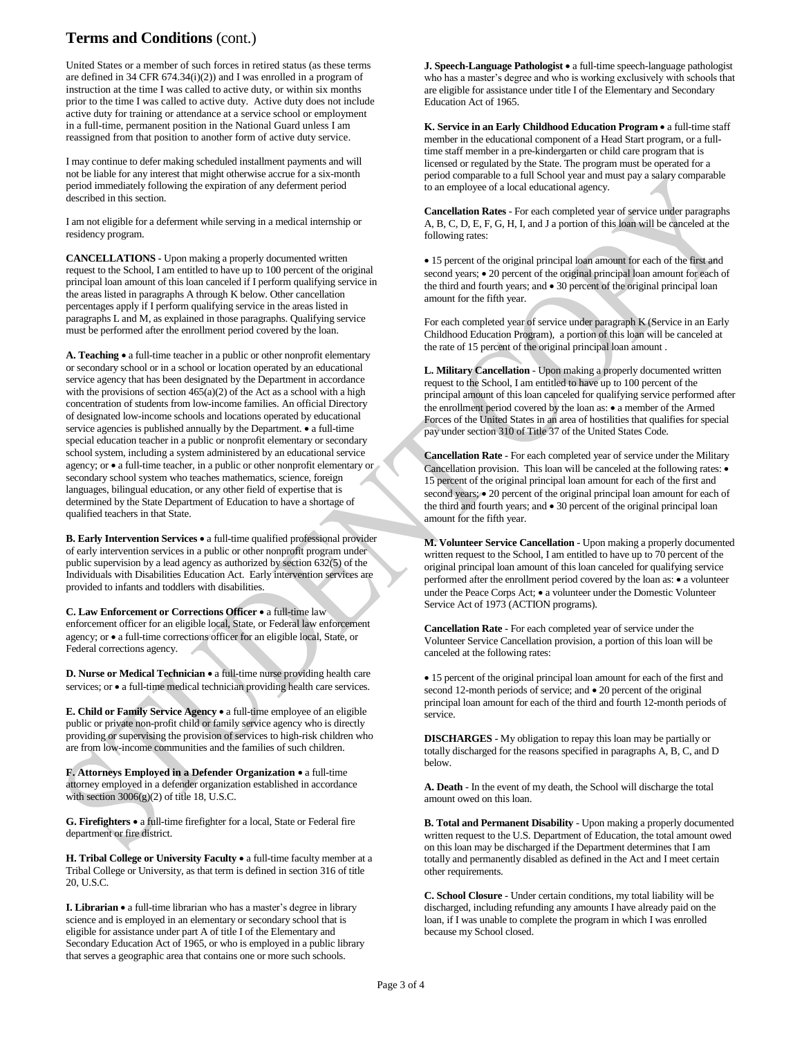# **Terms and Conditions** (cont.)

United States or a member of such forces in retired status (as these terms are defined in 34 CFR 674.34(i)(2)) and I was enrolled in a program of instruction at the time I was called to active duty, or within six months prior to the time I was called to active duty. Active duty does not include active duty for training or attendance at a service school or employment in a full-time, permanent position in the National Guard unless I am reassigned from that position to another form of active duty service.

I may continue to defer making scheduled installment payments and will not be liable for any interest that might otherwise accrue for a six-month period immediately following the expiration of any deferment period described in this section.

I am not eligible for a deferment while serving in a medical internship or residency program.

**CANCELLATIONS** - Upon making a properly documented written request to the School, I am entitled to have up to 100 percent of the original principal loan amount of this loan canceled if I perform qualifying service in the areas listed in paragraphs A through K below. Other cancellation percentages apply if I perform qualifying service in the areas listed in paragraphs L and M, as explained in those paragraphs. Qualifying service must be performed after the enrollment period covered by the loan.

A. Teaching • a full-time teacher in a public or other nonprofit elementary or secondary school or in a school or location operated by an educational service agency that has been designated by the Department in accordance with the provisions of section  $465(a)(2)$  of the Act as a school with a high concentration of students from low-income families. An official Directory of designated low-income schools and locations operated by educational service agencies is published annually by the Department.  $\bullet$  a full-time special education teacher in a public or nonprofit elementary or secondary school system, including a system administered by an educational service agency; or a full-time teacher, in a public or other nonprofit elementary or secondary school system who teaches mathematics, science, foreign languages, bilingual education, or any other field of expertise that is determined by the State Department of Education to have a shortage of qualified teachers in that State.

**B. Early Intervention Services • a full-time qualified professional provider** of early intervention services in a public or other nonprofit program under public supervision by a lead agency as authorized by section 632(5) of the Individuals with Disabilities Education Act. Early intervention services are provided to infants and toddlers with disabilities.

**C. Law Enforcement or Corrections Officer** a full-time law enforcement officer for an eligible local, State, or Federal law enforcement agency; or a full-time corrections officer for an eligible local, State, or Federal corrections agency.

**D. Nurse or Medical Technician • a full-time nurse providing health care** services; or  $\bullet$  a full-time medical technician providing health care services.

**E. Child or Family Service Agency** a full-time employee of an eligible public or private non-profit child or family service agency who is directly providing or supervising the provision of services to high-risk children who are from low-income communities and the families of such children.

**F. Attorneys Employed in a Defender Organization** a full-time attorney employed in a defender organization established in accordance with section 3006(g)(2) of title 18, U.S.C.

**G. Firefighters** a full-time firefighter for a local, State or Federal fire department or fire district.

**H. Tribal College or University Faculty •** a full-time faculty member at a Tribal College or University, as that term is defined in section 316 of title 20, U.S.C.

**I. Librarian** • a full-time librarian who has a master's degree in library science and is employed in an elementary or secondary school that is eligible for assistance under part A of title I of the Elementary and Secondary Education Act of 1965, or who is employed in a public library that serves a geographic area that contains one or more such schools.

**J. Speech-Language Pathologist •** a full-time speech-language pathologist who has a master's degree and who is working exclusively with schools that are eligible for assistance under title I of the Elementary and Secondary Education Act of 1965.

**K. Service in an Early Childhood Education Program**  a full-time staff member in the educational component of a Head Start program, or a fulltime staff member in a pre-kindergarten or child care program that is licensed or regulated by the State. The program must be operated for a period comparable to a full School year and must pay a salary comparable to an employee of a local educational agency.

**Cancellation Rates** - For each completed year of service under paragraphs A, B, C, D, E, F, G, H, I, and J a portion of this loan will be canceled at the following rates:

 15 percent of the original principal loan amount for each of the first and second years;  $\bullet$  20 percent of the original principal loan amount for each of the third and fourth years; and  $\bullet$  30 percent of the original principal loan amount for the fifth year.

For each completed year of service under paragraph K (Service in an Early Childhood Education Program), a portion of this loan will be canceled at the rate of 15 percent of the original principal loan amount .

**L. Military Cancellation** - Upon making a properly documented written request to the School, I am entitled to have up to 100 percent of the principal amount of this loan canceled for qualifying service performed after the enrollment period covered by the loan as:  $\bullet$  a member of the Armed Forces of the United States in an area of hostilities that qualifies for special pay under section 310 of Title 37 of the United States Code.

**Cancellation Rate** - For each completed year of service under the Military Cancellation provision. This loan will be canceled at the following rates:  $\bullet$ 15 percent of the original principal loan amount for each of the first and second years;  $\bullet$  20 percent of the original principal loan amount for each of the third and fourth years; and  $\bullet$  30 percent of the original principal loan amount for the fifth year.

**M. Volunteer Service Cancellation** - Upon making a properly documented written request to the School, I am entitled to have up to 70 percent of the original principal loan amount of this loan canceled for qualifying service performed after the enrollment period covered by the loan as:  $\bullet$  a volunteer under the Peace Corps Act;  $\bullet$  a volunteer under the Domestic Volunteer Service Act of 1973 (ACTION programs).

**Cancellation Rate** - For each completed year of service under the Volunteer Service Cancellation provision, a portion of this loan will be canceled at the following rates:

 15 percent of the original principal loan amount for each of the first and second 12-month periods of service; and  $\bullet$  20 percent of the original principal loan amount for each of the third and fourth 12-month periods of service.

**DISCHARGES** - My obligation to repay this loan may be partially or totally discharged for the reasons specified in paragraphs A, B, C, and D below.

**A. Death** - In the event of my death, the School will discharge the total amount owed on this loan.

**B. Total and Permanent Disability** - Upon making a properly documented written request to the U.S. Department of Education, the total amount owed on this loan may be discharged if the Department determines that I am totally and permanently disabled as defined in the Act and I meet certain other requirements.

**C. School Closure** - Under certain conditions, my total liability will be discharged, including refunding any amounts I have already paid on the loan, if I was unable to complete the program in which I was enrolled because my School closed.